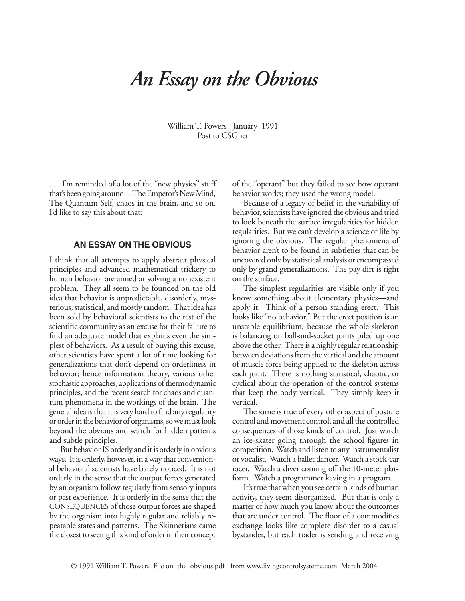## *An Essay on the Obvious*

William T. Powers January 1991 Post to CSGnet

. . . I'm reminded of a lot of the "new physics" stuff that's been going around—The Emperor's New Mind, The Quantum Self, chaos in the brain, and so on. I'd like to say this about that:

## **AN ESSAY ON THE OBVIOUS**

I think that all attempts to apply abstract physical principles and advanced mathematical trickery to human behavior are aimed at solving a nonexistent problem. They all seem to be founded on the old idea that behavior is unpredictable, disorderly, mysterious, statistical, and mostly random. That idea has been sold by behavioral scientists to the rest of the scientific community as an excuse for their failure to find an adequate model that explains even the simplest of behaviors. As a result of buying this excuse, other scientists have spent a lot of time looking for generalizations that don't depend on orderliness in behavior; hence information theory, various other stochastic approaches, applications of thermodynamic principles, and the recent search for chaos and quantum phenomena in the workings of the brain. The general idea is that it is very hard to find any regularity or order in the behavior of organisms, so we must look beyond the obvious and search for hidden patterns and subtle principles.

But behavior IS orderly and it is orderly in obvious ways. It is orderly, however, in a way that conventional behavioral scientists have barely noticed. It is not orderly in the sense that the output forces generated by an organism follow regularly from sensory inputs or past experience. It is orderly in the sense that the CONSEQUENCES of those output forces are shaped by the organism into highly regular and reliably repeatable states and patterns. The Skinnerians came the closest to seeing this kind of order in their concept of the "operant" but they failed to see how operant behavior works; they used the wrong model.

Because of a legacy of belief in the variability of behavior, scientists have ignored the obvious and tried to look beneath the surface irregularities for hidden regularities. But we can't develop a science of life by ignoring the obvious. The regular phenomena of behavior aren't to be found in subtleties that can be uncovered only by statistical analysis or encompassed only by grand generalizations. The pay dirt is right on the surface.

The simplest regularities are visible only if you know something about elementary physics—and apply it. Think of a person standing erect. This looks like "no behavior." But the erect position is an unstable equilibrium, because the whole skeleton is balancing on ball-and-socket joints piled up one above the other. There is a highly regular relationship between deviations from the vertical and the amount of muscle force being applied to the skeleton across each joint. There is nothing statistical, chaotic, or cyclical about the operation of the control systems that keep the body vertical. They simply keep it vertical.

The same is true of every other aspect of posture control and movement control, and all the controlled consequences of those kinds of control. Just watch an ice-skater going through the school figures in competition. Watch and listen to any instrumentalist or vocalist. Watch a ballet dancer. Watch a stock-car racer. Watch a diver coming off the 10-meter platform. Watch a programmer keying in a program.

It's true that when you see certain kinds of human activity, they seem disorganized. But that is only a matter of how much you know about the outcomes that are under control. The floor of a commodities exchange looks like complete disorder to a casual bystander, but each trader is sending and receiving